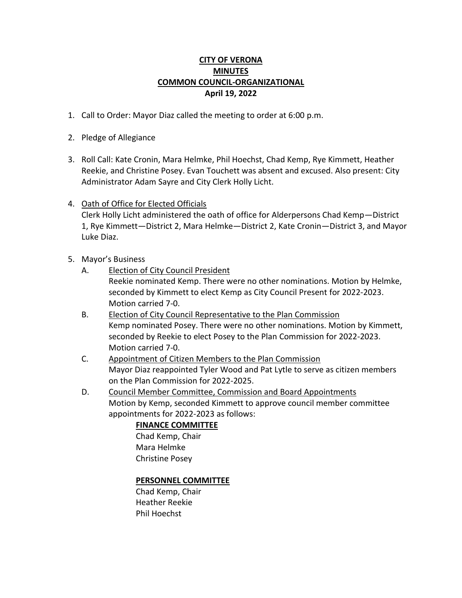# **CITY OF VERONA MINUTES COMMON COUNCIL-ORGANIZATIONAL April 19, 2022**

- 1. Call to Order: Mayor Diaz called the meeting to order at 6:00 p.m.
- 2. Pledge of Allegiance
- 3. Roll Call: Kate Cronin, Mara Helmke, Phil Hoechst, Chad Kemp, Rye Kimmett, Heather Reekie, and Christine Posey. Evan Touchett was absent and excused. Also present: City Administrator Adam Sayre and City Clerk Holly Licht.
- 4. Oath of Office for Elected Officials

Clerk Holly Licht administered the oath of office for Alderpersons Chad Kemp—District 1, Rye Kimmett—District 2, Mara Helmke—District 2, Kate Cronin—District 3, and Mayor Luke Diaz.

- 5. Mayor's Business
	- A. Election of City Council President

Reekie nominated Kemp. There were no other nominations. Motion by Helmke, seconded by Kimmett to elect Kemp as City Council Present for 2022-2023. Motion carried 7-0.

- B. Election of City Council Representative to the Plan Commission Kemp nominated Posey. There were no other nominations. Motion by Kimmett, seconded by Reekie to elect Posey to the Plan Commission for 2022-2023. Motion carried 7-0.
- C. Appointment of Citizen Members to the Plan Commission Mayor Diaz reappointed Tyler Wood and Pat Lytle to serve as citizen members on the Plan Commission for 2022-2025.
- D. Council Member Committee, Commission and Board Appointments Motion by Kemp, seconded Kimmett to approve council member committee appointments for 2022-2023 as follows:

# **FINANCE COMMITTEE**

Chad Kemp, Chair Mara Helmke Christine Posey

## **PERSONNEL COMMITTEE**

Chad Kemp, Chair Heather Reekie Phil Hoechst